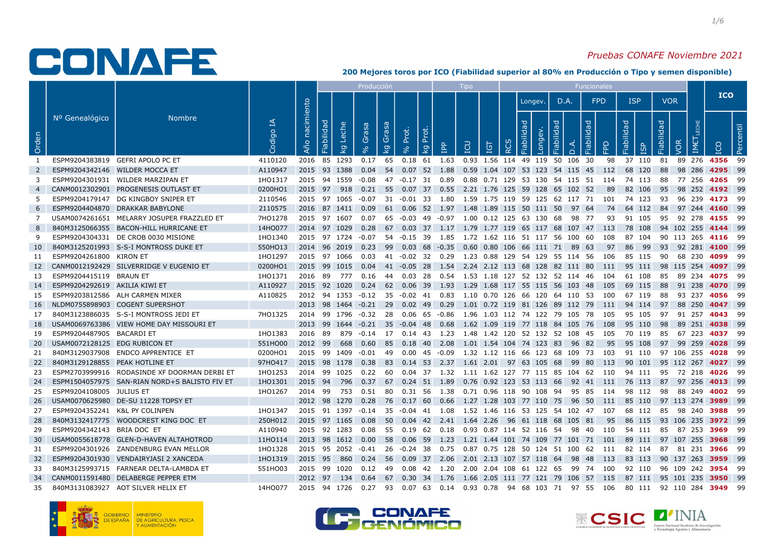### Pruebas CONAFE Noviembre 2021

|                |                                |                                               |             |                   |                                   |                   | Producción                       |                        |                                   |                | <b>Tipo</b> |     |            |                                                                                                  |            |                        | Funcionales |            |            |            |                           |      |            |
|----------------|--------------------------------|-----------------------------------------------|-------------|-------------------|-----------------------------------|-------------------|----------------------------------|------------------------|-----------------------------------|----------------|-------------|-----|------------|--------------------------------------------------------------------------------------------------|------------|------------------------|-------------|------------|------------|------------|---------------------------|------|------------|
|                |                                |                                               |             |                   |                                   |                   |                                  |                        |                                   |                |             |     |            | Longev.                                                                                          | D.A.       |                        | <b>FPD</b>  |            | <b>ISP</b> | <b>VOR</b> |                           |      | <b>ICO</b> |
| Orden          | Nº Genealógico                 | <b>Nombre</b>                                 | 모<br>Codigo | nacimiento<br>Año | Fiabilidad<br>Leche<br><u>। ସ</u> | Grasa             | Grasa<br>$\overline{\mathbf{S}}$ | Prot.                  | Prot<br>$\overline{\mathfrak{S}}$ | le.            | <b>CU</b>   | IGT | <b>RCS</b> | Fiabilida<br>Longev.                                                                             | Fiabilidad | Fiabilidad<br>$\Delta$ | 운           | Fiabilidad | <b>G2</b>  | Fiabilidad | IMET<br>VOR               | ICO  | Percentil  |
|                |                                | ESPM9204383819 GEFRI APOLO PC ET              | 4110120     |                   | 2016 85 1293                      |                   |                                  |                        |                                   |                |             |     |            | 0.17 65 0.18 61 1.63 0.93 1.56 114 49 119 50 106 30                                              |            |                        | 98          |            | 37 110 81  |            | 89 276 4356 99            |      |            |
| $\overline{2}$ |                                | ESPM9204342146 WILDER MOCCA ET                | A110947     |                   | 2015 93 1388                      |                   |                                  | $0.04$ 54 0.07 52 1.88 |                                   |                |             |     |            | 0.59 1.04 107 53 123 54 115 45 112                                                               |            |                        |             |            | 68 120     | 88         | 98 286                    |      | 4295 99    |
| 3              |                                | ESPM9204301931 WILDER MARZIPAN ET             | 1H01317     |                   |                                   |                   |                                  |                        |                                   |                |             |     |            | 2015 94 1559 -0.08 47 -0.17 31 0.89 0.88 0.71 129 53 130 54 115 51 114 74 113                    |            |                        |             |            |            | - 88       | 77 256 <b>4265</b>        |      | - 99       |
| 4              |                                | CANM0012302901 PROGENESIS OUTLAST ET          | 0200HO1     | 2015              | 97 918                            |                   |                                  |                        |                                   |                |             |     |            | 0.21 55 0.07 37 0.55 2.21 1.76 125 59 128 65 102 52                                              |            |                        | -89         |            | 82 106     | - 95       | 98 252 4192 99            |      |            |
| -5             |                                | ESPM9204179147 DG KINGBOY SNIPER ET           | 2110546     |                   |                                   |                   |                                  |                        |                                   |                |             |     |            | 2015 97 1065 -0.07 31 -0.01 33 1.80 1.59 1.75 119 59 125 62 117 71 101 74 123                    |            |                        |             |            |            |            | 93 96 239 <b>4173</b> 99  |      |            |
| 6              |                                | ESPM9204404870 DRAKKAR BABYLONE               | 2110575     |                   |                                   | 2016 87 1411 0.09 |                                  |                        |                                   |                |             |     |            | 61  0.06  52  1.97  1.48  1.89  115  50  111  50  97  64                                         |            |                        | - 74        |            | 64 112     |            | 84 97 244 <b>4160</b> 99  |      |            |
| 7              |                                | USAM0074261651 MELARRY JOSUPER FRAZZLED ET    | 7H01278     |                   | 2015 97 1607                      |                   |                                  |                        |                                   |                |             |     |            | 0.07  65  -0.03  49  -0.97  1.00  0.12  125  63  130  68  98  77                                 |            |                        | 93          |            | 91 105     | 95         | 92 278 4155               |      | - 99       |
| 8              |                                | 840M3125066355 BACON-HILL HURRICANE ET        | 14HO077     |                   | 2014 97 1029                      |                   |                                  |                        |                                   |                |             |     |            | 0.28 67 0.03 37 1.17 1.79 1.77 119 65 117 68 107 47 113                                          |            |                        |             |            | 78 108     |            | 94 102 255 <b>4144</b> 99 |      |            |
| -9             |                                | ESPM9204304331 DE CROB 0030 MISIONE           | 1HO1340     |                   |                                   |                   |                                  |                        |                                   |                |             |     |            | 2015 97 1724 -0.07 54 -0.15 39 1.85 1.72 1.62 116 51 117 56 100 60 108 87 104 90 113 265 4116 99 |            |                        |             |            |            |            |                           |      |            |
| 10             |                                | 840M3125201993 S-S-I MONTROSS DUKE ET         | 550HO13     |                   | 2014 96 2019                      |                   | 0.23 99                          |                        |                                   |                |             |     |            | 0.03 68 -0.35 0.60 0.80 106 66 111 71 89 63                                                      |            |                        | 97          | 86         | - 99       | - 93       | 92 281 <b>4100</b> 99     |      |            |
| 11             | ESPM9204261800 KIRON ET        |                                               | 1H01297     |                   | 2015 97 1066                      |                   |                                  |                        |                                   |                |             |     |            | 0.03  41  -0.02  32  0.29  1.23  0.88  129  54  129  55  114  56  106                            |            |                        |             |            | 85 115     | - 90       | 68 230 <b>4099</b>        |      | - 99       |
| 12             |                                | CANM0012192429 SILVERRIDGE V EUGENIO ET       | 0200HO1     | 2015              | 99 1015                           |                   |                                  |                        |                                   |                |             |     |            | 0.04 41 -0.05 28 1.54 2.24 2.12 113 68 128 82 111 80                                             |            |                        | 111         |            | 95 111     |            | 98 115 254 <b>4097</b> 99 |      |            |
| 13             | ESPM9204415119 BRAUN ET        |                                               | 1HO1371     |                   |                                   |                   |                                  |                        |                                   |                |             |     |            | 2016 89 777 0.16 44 0.03 28 0.54 1.53 1.18 127 52 132 52 114 46 104 61 108                       |            |                        |             |            |            |            | 85 89 234 <b>4075</b> 99  |      |            |
| 14             | ESPM9204292619 AKILIA KIWI ET  |                                               | A110927     |                   | 2015 92 1020                      |                   |                                  |                        |                                   |                |             |     |            | 0.24 62 0.06 39 1.93 1.29 1.68 117 55 115 56 103 48                                              |            |                        | - 105       |            | 69 115     | - 88       | 91 238 <b>4070</b> 99     |      |            |
| 15             |                                | ESPM9203812586 ALH CARMEN MIXER               | A110825     |                   |                                   |                   |                                  |                        |                                   |                |             |     |            | 2012 94 1353 -0.12 35 -0.02 41 0.83 1.10 0.70 126 66 120 64 110 53 100                           |            |                        |             |            | 67 119     | - 88       | 93 237 <b>4056</b>        |      | - 99       |
| 16             |                                | NLDM0755898903 COGENT SUPERSHOT               |             |                   |                                   |                   |                                  |                        |                                   |                |             |     |            | 2013 98 1464 -0.21 29 0.02 49 0.29 1.01 0.72 119 81 126 89 112 79 111                            |            |                        |             |            | 94 114     | 97         | 88 250                    |      | 4047 99    |
| 17             |                                | 840M3123886035 S-S-I MONTROSS JEDI ET         | 7HO1325     |                   |                                   |                   |                                  |                        |                                   |                |             |     |            | 2014 99 1796 -0.32 28 0.06 65 -0.86 1.96 1.03 112 74 122 79 105 78 105 95 105                    |            |                        |             |            |            |            | 97 91 257 <b>4043</b>     |      | - 99       |
| 18             |                                | USAM0069763386 VIEW HOME DAY MISSOURI ET      |             |                   | 2013 99 1644                      |                   | $-0.21$ 35                       |                        |                                   |                |             |     |            | $-0.04$ 48 $0.68$ 1.62 1.09 119 77 118 84 105 76 108                                             |            |                        |             |            | 95 110     | - 98       | 89 251 4038 99            |      |            |
| 19             | ESPM9204487905 BACARDI ET      |                                               | 1HO1383     | 2016 89           |                                   | 879               |                                  |                        |                                   |                |             |     |            | -0.14 17 0.14 43 1.23 1.48 1.42 120 52 132 52 108 45 105                                         |            |                        |             |            | 70 119     | - 85       | 67 223 4037               |      | - 99       |
| <b>20</b>      | USAM0072128125 EDG RUBICON ET  |                                               | 551HO00     | 2012              | - 99                              | 668<br>0.60       | 85                               |                        |                                   | $0.18$ 40 2.08 |             |     |            | 1.01 1.54 104 74 123 83 96 82                                                                    |            |                        | 95          |            | 95 108     | 97         | 99 259                    | 4028 | - 99       |
| 21             |                                | 840M3129037908 ENDCO APPRENTICE ET            | 0200HO1     |                   |                                   |                   |                                  |                        |                                   |                |             |     |            | 2015 99 1409 -0.01 49 0.00 45 -0.09 1.32 1.12 116 66 123 68 109 73 103 91 110 97 106 255 4028    |            |                        |             |            |            |            |                           |      | - 99       |
| 22             | 840M3129128855 PEAK HOTLINE ET |                                               | 97HO417     |                   | 2015 98 1178                      | 0.38              | 83                               |                        |                                   |                |             |     |            | 0.14 53 2.37 1.61 2.01 97 63 105 68 99 80                                                        |            |                        | 113         |            | 90 101     |            | 95 112 267 <b>4027</b> 99 |      |            |
| 23             |                                | ESPM2703999916 RODASINDE XF DOORMAN DERBI ET  | 1HO1253     |                   | 2014 99 1025                      |                   |                                  |                        |                                   |                |             |     |            | 0.22 60 0.04 37 1.32 1.11 1.62 127 77 115 85 104 62 110                                          |            |                        |             |            | 94 111 95  |            | 72 218 <b>4026</b>        |      | - 99       |
| 24             |                                | ESPM1504057975 SAN-RIAN NORD+S BALISTO FIV ET | 1HO1301     | 2015              | - 94                              | 796<br>0.37       | 67                               |                        |                                   |                |             |     |            | 0.24 51 1.89 0.76 0.92 123 53 113 66 92 41 111                                                   |            |                        |             |            | 76 113     | 87         | 97 256                    |      | 4013 99    |
| 25             | ESPM9204108005 JULIUS ET       |                                               | 1HO1267     | 2014 99           |                                   | 753<br>0.51       |                                  |                        |                                   |                |             |     |            | 80  0.31  56  1.38  0.71  0.96  118  90  108  94  95  85  114                                    |            |                        |             |            | 98 112     | - 98       | 88 249 4002 99            |      |            |
| 26             |                                | USAM0070625980 DE-SU 11228 TOPSY ET           |             |                   | 2012 98 1270                      | 0.28              |                                  |                        |                                   |                |             |     |            | 76 0.17 60 0.66 1.27 1.28 103 77 110 75  96 50  111  85 110  97 113 274 <b>3989</b> 99           |            |                        |             |            |            |            |                           |      |            |
| 27             | ESPM9204352241 K&L PY COLINPEN |                                               | 1HO1347     |                   | 2015 91 1397                      | -0.14             |                                  |                        |                                   |                |             |     |            | 35 -0.04 41 1.08 1.52 1.46 116 53 125 54 102 47 107                                              |            |                        |             |            | 68 112     | - 85       | 98 240 <b>3988</b>        |      | - 99       |
| 28             |                                | 840M3132417775 WOODCREST KING DOC ET          | 250H012     |                   | 2015 97 1165                      | 0.08              |                                  |                        |                                   |                |             |     |            | 50  0.04  42  2.41  1.64  2.26  96  61  118  68  105  81                                         |            |                        | 95          |            | 86 115     |            | 93 106 235 <b>3972</b> 99 |      |            |
| 29             | ESPM9204342143 BRIA DOC ET     |                                               | A110940     |                   | 2015 92 1283                      | 0.08              |                                  |                        |                                   |                |             |     |            | 55  0.19  62  0.18  0.93  0.87  114  52  116  54  98  40  110  54  111                           |            |                        |             |            |            |            | 85 87 253 <b>3969</b> 99  |      |            |
| 30             |                                | USAM0055618778 GLEN-D-HAVEN ALTAHOTROD        | 11HO114     |                   | 2013 98 1612                      | 0.00              | 58                               |                        |                                   |                |             |     |            | 0.06 59  1.23  1.21 1.44 101 74 109 77 101 71  101  89 111  97 107 255 <b>3968</b> 99            |            |                        |             |            |            |            |                           |      |            |
| 31             |                                | ESPM9204301926 ZANDENBURG EVAN MELLOR         | 1HO1328     |                   |                                   |                   |                                  |                        |                                   |                |             |     |            | 2015 95 2052 -0.41 26 -0.24 38 0.75 0.87 0.75 128 50 124 51 100 62 111                           |            |                        |             |            | 82 114     | 87         | 81 231 <b>3966</b>        |      | - 99       |
| 32             |                                | ESPM9204301930 VENDAIRYJASI 2 XANCEDA         | 1HO1319     | 2015              | 95                                | 860<br>0.24       | 56                               | 0.09 37 2.06           |                                   |                |             |     |            | 2.01 2.13 107 57 118 64 98 48                                                                    |            |                        | 113         |            | 83 113     |            | 90 137 263                | 3959 | - 99       |
| 33             |                                | 840M3125993715 FARNEAR DELTA-LAMBDA ET        | 551HO03     |                   | 2015 99 1020                      | 0.12              | - 49                             |                        |                                   |                |             |     |            | 2.00 2.04 108 61 122 65 99 74 100                                                                |            |                        |             |            | 92 110     |            | 96 109 242 <b>3954</b>    |      | - 99       |
| 34             |                                | CANM0011591480 DELABERGE PEPPER ETM           |             |                   |                                   |                   |                                  |                        |                                   |                |             |     |            | 2012 97 134 0.64 67 0.30 34 1.76 1.66 2.05 111 77 121 79 106 57 115 87 111 95 101 235 3950 99    |            |                        |             |            |            |            |                           |      |            |
| 35             |                                | 840M3131083927 AOT SILVER HELIX ET            | 14HO077     |                   |                                   |                   |                                  |                        |                                   |                |             |     |            | 2015 94 1726 0.27 93 0.07 63 0.14 0.93 0.78 94 68 103 71 97 55 106 80 111 92 110 284 3949        |            |                        |             |            |            |            |                           |      | - 99       |





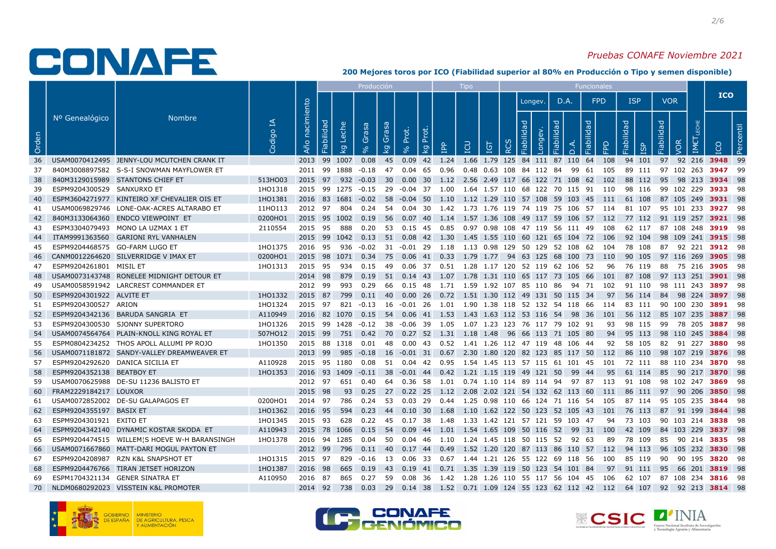### Pruebas CONAFE Noviembre 2021

|       |                                  |                                              |             |                   |                   |                       | Producción                       |    |                                            |           | <b>Tipo</b> |     |            |                                                                                                       |            |                   | Funcionales |            |        |                   |                                    |           |            |  |
|-------|----------------------------------|----------------------------------------------|-------------|-------------------|-------------------|-----------------------|----------------------------------|----|--------------------------------------------|-----------|-------------|-----|------------|-------------------------------------------------------------------------------------------------------|------------|-------------------|-------------|------------|--------|-------------------|------------------------------------|-----------|------------|--|
|       |                                  |                                              |             |                   |                   |                       |                                  |    |                                            |           |             |     |            | Longev.                                                                                               | D.A.       |                   | <b>FPD</b>  | <b>ISP</b> |        | <b>VOR</b>        |                                    |           | <b>ICO</b> |  |
| Orden | Nº Genealógico                   | <b>Nombre</b>                                | R<br>Codigo | nacimiento<br>Año | Fiabilidad        | Leche<br><u>। प्र</u> | Grasa<br>Grasa<br>8 <sup>o</sup> | ΣÅ | Prot.<br>Prot.<br>$\overline{\mathcal{Q}}$ | <b>Po</b> | EQ          | IGT | <b>RCS</b> | Fiabilida<br>Longev.                                                                                  | Fiabilidad | Fiabilidad<br>Å.Q | 윤           | Fiabilidad | ЯSI    | <b>Fiabilidad</b> | IMET<br>VOR                        | <b>CO</b> | Percentil  |  |
| 36    |                                  | USAM0070412495 JENNY-LOU MCUTCHEN CRANK IT   |             | 2013 99           |                   | 1007                  | 0.08                             | 45 |                                            |           |             |     |            | 0.09 42 1.24 1.66 1.79 125 84 111 87 110 64                                                           |            |                   | 108         |            | 94 101 |                   | 97 92 216 3948 99                  |           |            |  |
| 37    |                                  | 840M3008897582 S-S-I SNOWMAN MAYFLOWER ET    |             |                   |                   |                       |                                  |    |                                            |           |             |     |            | 2011 99 1888 -0.18 47 0.04 65 0.96 0.48 0.63 108 84 112 84 99 61 105                                  |            |                   |             |            |        |                   | 89 111 97 102 263 <b>3947</b>      |           | - 99       |  |
| 38    |                                  | 840M3129015989 STANTONS CHIEF ET             | 513HO03     |                   |                   |                       |                                  |    |                                            |           |             |     |            | 2015 97 932 -0.03 30 0.00 30 1.12 2.56 2.49 117 66 122 71 108 62 102                                  |            |                   |             |            |        |                   | 88 112 95 98 213 3934 98           |           |            |  |
| 39    | ESPM9204300529 SANXURXO ET       |                                              | 1H01318     |                   |                   |                       |                                  |    |                                            |           |             |     |            | 2015 99 1275 -0.15 29 -0.04 37 1.00 1.64 1.57 110 68 122 70 115 91 110                                |            |                   |             |            |        |                   | 98 116 99 102 229 <b>3933</b>      |           | - 98       |  |
| 40    |                                  | ESPM3604271977 KINTEIRO XF CHEVALIER OIS ET  | 1H01381     |                   |                   |                       |                                  |    |                                            |           |             |     |            | 2016 83 1681 -0.02 58 -0.04 50 1.10 1.12 1.29 110 57 108 59 103 45 111 61 108                         |            |                   |             |            |        |                   | 87 105 249 <b>3931</b> 98          |           |            |  |
| 41    |                                  | USAM0069829746 LONE-OAK-ACRES ALTARABO ET    | 11HO113     |                   |                   |                       |                                  |    |                                            |           |             |     |            | 2012 97 804 0.24 54 0.04 30 1.42 1.73 1.76 119 74 119 75 106 57 114 81 107 95 101 233 3927 98         |            |                   |             |            |        |                   |                                    |           |            |  |
| 42    |                                  | 840M3133064360 ENDCO VIEWPOINT ET            | 0200HO1     |                   |                   |                       |                                  |    |                                            |           |             |     |            | 2015 95 1002 0.19 56 0.07 40 1.14 1.57 1.36 108 49 117 59 106 57 112 77 112 91 119 257 <b>3921</b> 98 |            |                   |             |            |        |                   |                                    |           |            |  |
| 43    |                                  | ESPM3304079493 MONO LA UZMAX 1 ET            | 2110554     | 2015 95           |                   | 888                   | 0.20                             |    |                                            |           |             |     |            | 53  0.15  45  0.85  0.97  0.98  108  47  119  56  111  49  108                                        |            |                   |             |            |        |                   | 62 117 87 108 248 3919 98          |           |            |  |
| -44   |                                  | ITAM9991363560 GARIONI RYL VANHALEN          |             |                   |                   |                       |                                  |    |                                            |           |             |     |            | 2015 99 1042 0.13 51 0.08 42 1.30 1.45 1.55 110 60 121 65 104 72 106 92 104 98 109 241 3915 98        |            |                   |             |            |        |                   |                                    |           |            |  |
| 45    |                                  | ESPM9204468575 GO-FARM LUGO ET               | 1HO1375     |                   |                   |                       |                                  |    |                                            |           |             |     |            | 2016 95 936 -0.02 31 -0.01 29 1.18 1.13 0.98 129 50 129 52 108 62 104 78 108 87 92 221 <b>3912</b> 98 |            |                   |             |            |        |                   |                                    |           |            |  |
| 46    |                                  | CANM0012264620 SILVERRIDGE V IMAX ET         | 0200HO1     |                   |                   |                       |                                  |    |                                            |           |             |     |            | 2015 98 1071 0.34 75 0.06 41 0.33 1.79 1.77 94 63 125 68 100 73 110 90 105                            |            |                   |             |            |        |                   | 97 116 269 3905 98                 |           |            |  |
| 47    | ESPM9204261801 MISIL ET          |                                              | 1HO1313     | 2015 95           |                   |                       |                                  |    |                                            |           |             |     |            | 934  0.15  49  0.06  37  0.51  1.28  1.17  120  52  119  62  106  52                                  |            |                   | 96          |            | 76 119 |                   | 88 75 216 <b>3905</b> 98           |           |            |  |
| 48    |                                  | USAM0073143748 RONELEE MIDNIGHT DETOUR ET    |             | 2014 98           |                   | 879                   |                                  |    |                                            |           |             |     |            | 0.19 51 0.14 43 1.07 1.78 1.31 110 65 117 73 105 66 101 87 108                                        |            |                   |             |            |        |                   | 97 113 251 3901 98                 |           |            |  |
| 49    |                                  | USAM0058591942 LARCREST COMMANDER ET         |             | 2012 99           |                   |                       |                                  |    |                                            |           |             |     |            | 993 0.29 66 0.15 48 1.71 1.59 1.92 107 85 110 86 94 71 102 91 110 98 111 243 3897 98                  |            |                   |             |            |        |                   |                                    |           |            |  |
| 50    | ESPM9204301922 ALVITE ET         |                                              | 1HO1332     |                   |                   |                       |                                  |    |                                            |           |             |     |            | 2015 87 799 0.11 40 0.00 26 0.72 1.51 1.30 112 49 131 50 115 34 97 56 114                             |            |                   |             |            |        |                   | 84 98 224 3897 98                  |           |            |  |
| 51    | ESPM9204300527 ARION             |                                              | 1HO1324     | 2015 97           |                   |                       |                                  |    |                                            |           |             |     |            | 821 -0.13 16 -0.01 26 1.01 1.90 1.38 118 52 132 54 118 66 114 83 111 90 100 230 3891 98               |            |                   |             |            |        |                   |                                    |           |            |  |
| 52    |                                  | ESPM9204342136 BARUDA SANGRIA ET             | A110949     |                   |                   |                       |                                  |    |                                            |           |             |     |            | 2016 82 1070 0.15 54 0.06 41 1.53 1.43 1.63 112 53 116 54 98 36 101 56 112 85 107 235 3887 98         |            |                   |             |            |        |                   |                                    |           |            |  |
| 53    |                                  | ESPM9204300530 SJONNY SUPERTORO              | 1HO1326     |                   |                   |                       |                                  |    |                                            |           |             |     |            | 2015 99 1428 -0.12 38 -0.06 39 1.05 1.07 1.23 123 76 117 79 102 91                                    |            |                   | 93 98 115   |            |        |                   | 99 78 205 <b>3887</b> 98           |           |            |  |
| 54    |                                  | USAM0074564764 PLAIN-KNOLL KING ROYAL ET     | 507HO12     | 2015 99           |                   |                       |                                  |    |                                            |           |             |     |            | 751  0.42  70  0.27  52  1.31  1.18  1.48  96  66  113  71  105  80                                   |            |                   | 94 95 113   |            |        |                   | 98 110 245 <b>3884</b> 98          |           |            |  |
| 55    |                                  | ESPM0804234252 THOS APOLL ALLUMI PP ROJO     | 1HO1350     |                   | 2015 88 1318 0.01 |                       |                                  |    |                                            |           |             |     |            | 48  0.00  43  0.52  1.41  1.26  112  47  119  48  106  44                                             |            |                   | 92          |            | 58 105 |                   | 82 91 227 <b>3880</b>              |           | - 98       |  |
| 56    |                                  | USAM0071181872 SANDY-VALLEY DREAMWEAVER ET   |             |                   | 2013 99 985       |                       |                                  |    |                                            |           |             |     |            | -0.18 16 -0.01 31 0.67 2.30 1.80 120 82 123 85 117 50 112 86 110                                      |            |                   |             |            |        |                   | 98 107 219 <b>3876</b> 98          |           |            |  |
| 57    | ESPM9204292620 DANICA SICILIA ET |                                              | A110928     |                   |                   |                       |                                  |    |                                            |           |             |     |            | 2015 95 1180 0.08 51 0.04 42 0.95 1.54 1.45 113 57 115 61 101 45 101 72 111 88 110 234 3870 98        |            |                   |             |            |        |                   |                                    |           |            |  |
| 58    | ESPM9204352138 BEATBOY ET        |                                              | 1HO1353     |                   |                   |                       |                                  |    |                                            |           |             |     |            | 2016 93 1409 -0.11 38 -0.01 44 0.42 1.21 1.15 119 49 121 50 99 44 95                                  |            |                   |             |            | 61 114 |                   | 85 90 217 3870 98                  |           |            |  |
| 59    |                                  | USAM0070625988 DE-SU 11236 BALISTO ET        |             | 2012 97           |                   | 651                   | 0.40                             |    |                                            |           |             |     |            | 64  0.36  58  1.01  0.74  1.10  114  89  114  94  97  87  113  91  108                                |            |                   |             |            |        |                   | 98 102 247 <b>3869</b>             |           | - 98       |  |
| 60    | FRAM2229184217 LOUXOR            |                                              |             | 2015 98           |                   | 93                    |                                  |    |                                            |           |             |     |            | 0.25 27 0.22 25 1.12 2.08 2.02 121 54 132 62 113 60 111 86 111                                        |            |                   |             |            |        |                   | 97 90 206 3850 98                  |           |            |  |
| 61    |                                  | USAM0072852002 DE-SU GALAPAGOS ET            | 0200HO1     |                   | 2014 97 786       |                       |                                  |    |                                            |           |             |     |            | 0.24 53 0.03 29 0.44 1.25 0.98 110 66 124 71 116 54  105  87 114  95 105 235 <b>3844</b> 98           |            |                   |             |            |        |                   |                                    |           |            |  |
| 62    | ESPM9204355197 BASIX ET          |                                              | 1H01362     | 2016 95           |                   | 594                   |                                  |    |                                            |           |             |     |            | 0.23 44 0.10 30 1.68 1.10 1.62 122 50 123 52 105 43 101 76 113                                        |            |                   |             |            |        |                   | 87 91 199 3844 98                  |           |            |  |
| 63    | ESPM9204301921 EXITO ET          |                                              | 1HO1345     | 2015 93           |                   | 628                   |                                  |    |                                            |           |             |     |            | 0.22  45  0.17  38  1.48  1.33  1.42  121  57  121  59  103  47                                       |            |                   | 94          |            | 73 103 |                   | 90 103 214 3838                    |           | - 98       |  |
| 64    |                                  | ESPM9204342140 DYNAMIC KOSTAR SKODA ET       | A110943     |                   | 2015 78 1066      |                       |                                  |    |                                            |           |             |     |            | 0.15 54 0.09 44 1.01 1.54 1.65 109 50 116 52 99 31 100 42 109                                         |            |                   |             |            |        |                   | 84 103 229 3837 98                 |           |            |  |
| 65    |                                  | ESPM9204474515 WILLEM'S HOEVE W-H BARANSINGH | 1HO1378     |                   |                   |                       |                                  |    |                                            |           |             |     |            | 2016 94 1285 0.04 50 0.04 46 1.10 1.24 1.45 118 50 115 52 92 63                                       |            |                   |             |            |        |                   | 89 78 109 85 90 214 <b>3835</b> 98 |           |            |  |
| 66    |                                  | USAM0071667860 MATT-DARI MOGUL PAYTON ET     |             | 2012 99           |                   | 796                   |                                  |    |                                            |           |             |     |            | 0.11 40 0.17 44 0.49 1.52 1.20 120 87 113 86 110 57 112 94 113                                        |            |                   |             |            |        |                   | 96 105 232 3830 98                 |           |            |  |
| 67    |                                  | ESPM9204208987 RZN K&L SNAPSHOT ET           | 1HO1315     | 2015 97           |                   |                       |                                  |    |                                            |           |             |     |            | 829 -0.16 13 0.06 33 0.67 1.44 1.21 126 55 122 69 118 56 100                                          |            |                   |             |            | 85 119 | 90                | 90 195 <b>3820</b> 98              |           |            |  |
| 68    |                                  | ESPM9204476766 TIRAN JETSET HORIZON          | 1HO1387     | 2016              | - 98              | 665                   |                                  |    |                                            |           |             |     |            | 0.19 43 0.19 41 0.71 1.35 1.39 119 50 123 54 101 84                                                   |            |                   | 97 91 111   |            |        | 95                | 66 201 3819 98                     |           |            |  |
| 69    |                                  | ESPM1704321134 GENER SINATRA ET              | A110950     | 2016 87           |                   |                       |                                  |    |                                            |           |             |     |            | 865 0.27 59 0.08 36 1.42 1.28 1.26 110 55 117 56 104 45  106  62 107  87 108 234 <b>3816</b> 98       |            |                   |             |            |        |                   |                                    |           |            |  |
| 70    |                                  | NLDM0680292023 VISSTEIN K&L PROMOTER         |             |                   |                   |                       |                                  |    |                                            |           |             |     |            | 2014 92 738 0.03 29 0.14 38 1.52 0.71 1.09 124 55 123 62 112 42 112 64 107 92 92 213 3814 98          |            |                   |             |            |        |                   |                                    |           |            |  |





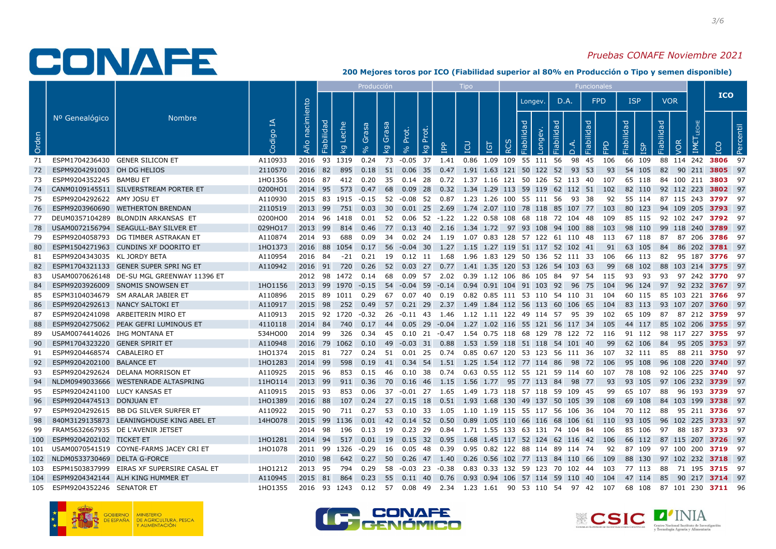

#### Pruebas CONAFE Noviembre 2021

|       |                                  |                                            |                      |                   |            |                         | Producción |                                  |                                                          |     | <b>Tipo</b> |            |                  |                                                                                       |           |          | Funcionales     |      |                 |            |                                                                                                              |            |           |
|-------|----------------------------------|--------------------------------------------|----------------------|-------------------|------------|-------------------------|------------|----------------------------------|----------------------------------------------------------|-----|-------------|------------|------------------|---------------------------------------------------------------------------------------|-----------|----------|-----------------|------|-----------------|------------|--------------------------------------------------------------------------------------------------------------|------------|-----------|
|       |                                  |                                            |                      |                   |            |                         |            |                                  |                                                          |     |             |            |                  | Longev.                                                                               | D.A.      |          | <b>FPD</b>      |      | <b>ISP</b>      |            | VOR                                                                                                          | <b>ICO</b> |           |
| Orden | Nº Genealógico                   | <b>Nombre</b>                              | R<br>Codigo          | nacimiento<br>Año | Fiabilidad | Leche<br>$\overline{Q}$ | Grasa      | Grasa<br>$\overline{\mathbf{S}}$ | Prot.<br>$\breve{\circ}$<br>훈<br>$\overline{\mathbf{g}}$ | ) 이 | EQ          | <b>IGT</b> | $\tilde{\alpha}$ | ਰ<br>Longev.<br>$\overline{\mathbf{C}}$<br><b>abili</b>                               | labilidad | $\Omega$ | Fiabilidad<br>입 |      | Fiabilidad<br>ъ | Fiabilidad | <b>IS</b>                                                                                                    |            | Percentil |
| 71    | ESPM1704236430 GENER SILICON ET  |                                            | A110933              | 2016 93 1319      |            |                         |            |                                  |                                                          |     |             |            |                  | 0.24 73 -0.05 37 1.41 0.86 1.09 109 55 111 56                                         |           | 98 45    | 106             |      | 66 109          |            | 88 114 242 3806 97                                                                                           |            |           |
| 72    | ESPM9204291003 OH DG HELIOS      |                                            | 2110570              | 2016 82 895       |            |                         |            |                                  |                                                          |     |             |            |                  | 0.18 51 0.06 35 0.47 1.91 1.63 121 50 122 52 93 53                                    |           |          | 93              |      | 54 105          |            | 82 90 211 3805 97                                                                                            |            |           |
| 73    | ESPM9204352245 BAMBU ET          |                                            | 1HO1356              |                   |            |                         |            |                                  |                                                          |     |             |            |                  | 2016 87 412 0.20 35 0.14 28 0.72 1.37 1.16 121 50 126 52 113 40 107                   |           |          |                 |      |                 |            | 65 118 84 100 211 <b>3803</b> 97                                                                             |            |           |
|       |                                  | 74 CANM0109145511 SILVERSTREAM PORTER ET   | 0200HO1              | 2014 95           |            | 573                     |            |                                  |                                                          |     |             |            |                  | 0.47 68 0.09 28 0.32 1.34 1.29 113 59 119 62 112 51 102                               |           |          |                 |      | 82 110          |            | 92 112 223 3802 97                                                                                           |            |           |
| 75    | ESPM9204292622 AMY JOSU ET       |                                            | A110930              |                   |            |                         |            |                                  |                                                          |     |             |            |                  | 2015 83 1915 -0.15 52 -0.08 52 0.87 1.23 1.26 100 55 111 56 93 38                     |           |          |                 |      |                 |            | 92 55 114 87 115 243 <b>3797</b> 97                                                                          |            |           |
| 76    |                                  | ESPM9203960690 WETHERTON BRENDAN           | 2110519              | 2013 99           |            |                         |            |                                  |                                                          |     |             |            |                  | 751  0.03  30  0.01  25  2.69  1.74  2.07  110  78  118  85  107  77  103             |           |          |                 |      | 80 123          |            | 94 109 205 3793 97                                                                                           |            |           |
| 77    |                                  | DEUM0357104289 BLONDIN ARKANSAS ET         | 0200HO0              |                   |            |                         |            |                                  |                                                          |     |             |            |                  | 2014  96  1418  0.01  52  0.06  52  -1.22  1.22  0.58  108  68  118  72  104  48  109 |           |          |                 |      | 85 115          |            | 92 102 247 <b>3792</b> 97                                                                                    |            |           |
| 78    |                                  | USAM0072156794 SEAGULL-BAY SILVER ET       | 029HO17              | 2013 99           |            | 814                     |            |                                  |                                                          |     |             |            |                  | 0.46 77 0.13 40 2.16 1.34 1.72 97 93 108 94 100 88 103                                |           |          |                 |      | 98 110          |            | 99 118 240 <b>3789</b> 97                                                                                    |            |           |
| 79    |                                  | ESPM9204058793 DG TIMBER ASTRAKAN ET       | A110874              |                   |            |                         |            |                                  |                                                          |     |             |            |                  | 2014 93 688 0.09 34 0.02 24 1.19 1.07 0.83 128 57 122 61 110 48 113 67 118            |           |          |                 |      |                 |            | 87 87 206 3786 97                                                                                            |            |           |
| 80    |                                  | ESPM1504271963 CUNDINS XF DOORITO ET       | 1HO1373              |                   |            |                         |            |                                  |                                                          |     |             |            |                  | 2016 88 1054 0.17 56 -0.04 30 1.27 1.15 1.27 119 51 117 52 102 41                     |           |          |                 | 91   | 63 105          |            | 84 86 202 <b>3781</b> 97                                                                                     |            |           |
| 81    | ESPM9204343035 KL JORDY BETA     |                                            | A110954              | 2016 84 -21       |            |                         | 0.21       |                                  |                                                          |     |             |            |                  | 19  0.12  11  1.68  1.96  1.83  129  50  136  52  111  33  106                        |           |          |                 |      | 66 113          |            | 82 95 187 <b>3776</b> 97                                                                                     |            |           |
| 82    |                                  | ESPM1704321133 GENER SUPER SPRING ET       | A110942              | 2016 91 720       |            |                         |            |                                  |                                                          |     |             |            |                  | 0.26 52 0.03 27 0.77 1.41 1.35 120 53 126 54 103 63                                   |           |          |                 | - 99 | 68 102          |            | 88 103 214 3775 97                                                                                           |            |           |
| 83    |                                  | USAM0070626148 DE-SU MGL GREENWAY 11396 ET |                      |                   |            |                         |            |                                  |                                                          |     |             |            |                  | 2012 98 1472 0.14 68 0.09 57 2.02 0.39 1.12 106 86 105 84 97 54 115 93 93             |           |          |                 |      |                 |            | 93 97 242 <b>3770</b> 97                                                                                     |            |           |
| 84    |                                  | ESPM9203926009 SNOMIS SNOWSEN ET           | 1HO1156              |                   |            |                         |            |                                  |                                                          |     |             |            |                  | 2013 99 1970 -0.15 54 -0.04 59 -0.14 0.94 0.91 104 91 103 92 96 75 104 96 124         |           |          |                 |      |                 |            | 97 92 232 3767 97                                                                                            |            |           |
| 85    |                                  | ESPM3104034679 SM ARALAR JABIER ET         | A110896              |                   |            |                         |            |                                  |                                                          |     |             |            |                  | 2015 89 1011 0.29 67 0.07 40 0.19 0.82 0.85 111 53 110 54 110 31 104                  |           |          |                 |      | 60 115          |            | 85 103 221 <b>3766</b> 97                                                                                    |            |           |
| 86    |                                  | ESPM9204292613 NANCY SALTOKI ET            | A110917              | 2015 98 252       |            |                         |            |                                  |                                                          |     |             |            |                  | 0.49 57 0.21 29 2.37 1.49 1.84 112 56 113 60 106 65 104 83 113                        |           |          |                 |      |                 |            | 93 107 207 <b>3760</b> 97                                                                                    |            |           |
| 87    |                                  | ESPM9204241098 ARBEITERIN MIRO ET          | A110913              | 2015 92 1720      |            |                         |            |                                  |                                                          |     |             |            |                  |                                                                                       |           |          |                 |      | 65 109          |            | 87 87 212 <b>3759</b> 97                                                                                     |            |           |
| 88    |                                  | ESPM9204275062 PEAK GEFRI LUMINOUS ET      | 4110118              | 2014 84 740       |            |                         |            |                                  |                                                          |     |             |            |                  |                                                                                       |           |          |                 |      |                 |            | 0.17 44 0.05 29 -0.04 1.27 1.02 116 55 121 56 117 34 105 44 117 85 102 206 <b>3755</b> 97                    |            |           |
| 89.   | USAM0074414026 IHG MONTANA ET    |                                            | 534HO00              | 2014 99 326       |            |                         |            |                                  |                                                          |     |             |            |                  | 0.34  45  0.10  21  -0.47  1.54  0.75  118  68  129  78  122  72  116  91  112        |           |          |                 |      |                 |            | 98 117 227 3755 97                                                                                           |            |           |
| 90    | ESPM1704323220 GENER SPIRIT ET   |                                            | A110948              | 2016 79 1062      |            |                         |            |                                  |                                                          |     |             |            |                  | 0.10 49 -0.03 31 0.88 1.53 1.59 118 51 118 54 101 40                                  |           |          |                 | - 99 | 62 106          |            | 84 95 205 3753 97                                                                                            |            |           |
| 91    | ESPM9204468574 CABALEIRO ET      |                                            | 1HO1374              |                   |            |                         |            |                                  |                                                          |     |             |            |                  |                                                                                       |           |          |                 |      |                 |            | 2015 81 727 0.24 51 0.01 25 0.74 0.85 0.67 120 53 123 56 111 36 107 32 111 85 88 211 3750 97                 |            |           |
| 92    | ESPM9204202100 BALANCE ET        |                                            | 1HO1283              |                   |            |                         |            |                                  |                                                          |     |             |            |                  | 2014 99 598 0.19 41 0.34 54 1.51 1.25 1.54 112 77 114 86 98 72 106 95 108             |           |          |                 |      |                 |            | 96 108 220 <b>3740</b> 97                                                                                    |            |           |
| 93    |                                  | ESPM9204292624 DELANA MORRISON ET          | A110925              |                   |            |                         |            |                                  |                                                          |     |             |            |                  | 2015 96 853 0.15 46 0.10 38 0.74 0.63 0.55 112 55 121 59 114 60 107 78 108            |           |          |                 |      |                 |            | 92 106 225 <b>3740</b> 97                                                                                    |            |           |
| 94    |                                  | NLDM0949033666 WESTENRADE ALTASPRING       | 11HO114              | 2013 99           |            |                         |            |                                  |                                                          |     |             |            |                  | 911  0.36  70  0.16  46  1.15  1.56  1.77  95  77  113  84  98  77                    |           |          |                 | 93   | 93 105          |            | 97 106 232 <b>3739</b> 97                                                                                    |            |           |
| 95    | ESPM9204241100 LUCY KANSAS ET    |                                            | A110915              | 2015 93           |            | 853                     | 0.06       |                                  |                                                          |     |             |            |                  | 37 -0.01 27 1.65 1.49 1.73 118 57 118 59 109 45                                       |           |          |                 | 99   | 65 107          |            | 88 96 193 3739 97                                                                                            |            |           |
| 96    | ESPM9204474513 DONJUAN ET        |                                            | 1HO1389              | 2016 88           |            |                         |            |                                  |                                                          |     |             |            |                  | 107 0.24 27 0.15 18 0.51 1.93 1.68 130 49 137 50 105 39 108 69 108                    |           |          |                 |      |                 |            | 84 103 199 <b>3738</b> 97                                                                                    |            |           |
| 97    |                                  | ESPM9204292615 BB DG SILVER SURFER ET      | A110922              | 2015 90           |            | 711                     |            |                                  |                                                          |     |             |            |                  | 0.27 53 0.10 33 1.05 1.10 1.19 115 55 117 56 106 36 104 70 112                        |           |          |                 |      |                 |            | 88 95 211 <b>3736</b> 97                                                                                     |            |           |
| 98    |                                  | 840M3129135873 LEANINGHOUSE KING ABEL ET   | 14HO078 2015 99 1136 |                   |            |                         |            |                                  |                                                          |     |             |            |                  | 0.01 42 0.14 52 0.50 0.89 1.05 110 66 116 68 106 61 110 93 105                        |           |          |                 |      |                 |            | 96 102 225 <b>3733</b> 97                                                                                    |            |           |
| 99    |                                  | FRAM5632667935 DE L'AVENIR JETSET          |                      | 2014 98           |            | 196                     |            |                                  |                                                          |     |             |            |                  | 0.13 19 0.23 29 0.84 1.71 1.55 133 63 131 74 104 84 106                               |           |          |                 |      | 85 106          |            | 97 88 187 <b>3733</b> 97                                                                                     |            |           |
|       | 100 ESPM9204202102 TICKET ET     |                                            | 1HO1281              |                   |            |                         |            |                                  |                                                          |     |             |            |                  |                                                                                       |           |          |                 |      |                 |            | 2014 94 517 0.01 19 0.15 32 0.95 1.68 1.45 117 52 124 62 116 42 106 66 112 87 115 207 3726 97                |            |           |
|       |                                  | 101 USAM0070541519 COYNE-FARMS JACEY CRIET | 1HO1078              |                   |            |                         |            |                                  |                                                          |     |             |            |                  | 2011 99 1326 -0.29 16 0.05 48 0.39 0.95 0.82 122 88 114 89 114 74 92                  |           |          |                 |      | 87 109          |            | 97 100 200 3719 97                                                                                           |            |           |
|       | 102 NLDM0533730469 DELTA G-FORCE |                                            |                      | 2010 98           |            |                         |            |                                  |                                                          |     |             |            |                  | 642  0.27  50  0.26  47  1.40  0.26  0.56  102  77  113  84  110  66  109             |           |          |                 |      | 88 130          |            | 97 102 232 <b>3718</b> 97                                                                                    |            |           |
| 103   |                                  | ESPM1503837999 EIRAS XF SUPERSIRE CASAL ET | 1HO1212              | 2013 95 794 0.29  |            |                         |            |                                  |                                                          |     |             |            |                  | 58 -0.03 23 -0.38 0.83 0.33 132 59 123 70 102 44 103                                  |           |          |                 |      | 77 113          |            | 88 71 195 <b>3715</b> 97                                                                                     |            |           |
|       |                                  | 104 ESPM9204342144 ALH KING HUMMER ET      | A110945              |                   |            |                         |            |                                  |                                                          |     |             |            |                  |                                                                                       |           |          |                 |      |                 |            | 2015 81 864 0.23 55 0.11 40 0.76 0.93 0.94 106 57 114 59 110 40 104 47 114 85 90 217 3714 97                 |            |           |
|       | 105 ESPM9204352246 SENATOR ET    |                                            | 1HO1355              |                   |            |                         |            |                                  |                                                          |     |             |            |                  |                                                                                       |           |          |                 |      |                 |            | 2016 93 1243 0.12  57  0.08 49  2.34  1.23 1.61  90 53 110 54  97 42  107  68 108  87 101 230 <b>3711</b> 96 |            |           |





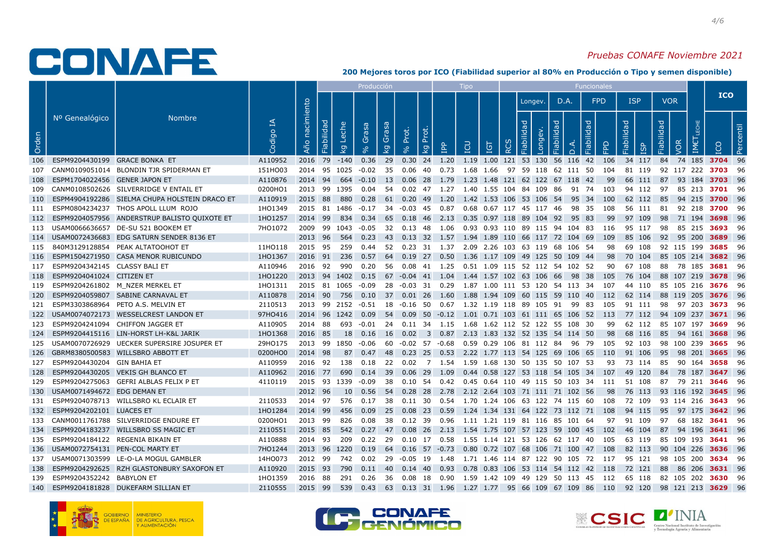#### Pruebas CONAFE Noviembre 2021

|       |                                     |                                                   |             |                   |              |                         | Producción |                        |       |                     |     | <b>Tipo</b> |            |    |                                                                                                         |                  |          | Funcionales |      |            |           |            |                                  |            |  |
|-------|-------------------------------------|---------------------------------------------------|-------------|-------------------|--------------|-------------------------|------------|------------------------|-------|---------------------|-----|-------------|------------|----|---------------------------------------------------------------------------------------------------------|------------------|----------|-------------|------|------------|-----------|------------|----------------------------------|------------|--|
|       |                                     |                                                   |             |                   |              |                         |            |                        |       |                     |     |             |            |    | Longev.                                                                                                 | D.A.             |          | <b>FPD</b>  |      | <b>ISP</b> |           | <b>VOR</b> |                                  | <b>ICO</b> |  |
| Orden | Nº Genealógico                      | <b>Nombre</b>                                     | R<br>Codigo | nacimiento<br>Año | Fiabilidad   | Leche<br>$\overline{5}$ | Grasa      | Grasa<br>$\mathcal{Q}$ | Prot. | ᅕ<br>$\overline{5}$ | ) 이 | EQ          | <b>IGT</b> | RC | J<br>Longev.<br>$\vec{\sigma}$<br>Fiabil                                                                | <b>bebilidad</b> | $\Omega$ | Fiabilidad  | 운    | Fiabilidad | <b>GD</b> | Fiabilidad | <b>VOR</b><br>$\sum_{i=1}^{n}$   | Percentil  |  |
|       | 106 ESPM9204430199 GRACE BONKA ET   |                                                   | A110952     | 2016 79           |              | $-140$                  |            |                        |       |                     |     |             |            |    | 0.36 29 0.30 24 1.20 1.19 1.00 121 53 130 56 116 42 106                                                 |                  |          |             |      |            |           |            | 34 117 84 74 185 3704 96         |            |  |
|       |                                     | 107 CANM0109051014 BLONDIN TJR SPIDERMAN ET       | 151HO03     |                   |              |                         |            |                        |       |                     |     |             |            |    | 2014 95 1025 -0.02 35 0.06 40 0.73 1.68 1.66 97 59 118 62 111 50 104 81 119                             |                  |          |             |      |            |           |            | 92 117 222 <b>3703</b> 96        |            |  |
|       | 108 ESPM1704022456 GENER JAPON ET   |                                                   | A110876     |                   |              |                         |            |                        |       |                     |     |             |            |    | 2014 94 664 -0.10 13 0.06 28 1.79 1.23 1.48 121 62 122 67 118 42                                        |                  |          |             | - 99 |            |           |            | 66 111 87 93 184 3703 96         |            |  |
|       |                                     | 109 CANM0108502626 SILVERRIDGE V ENTAIL ET        | 0200HO1     |                   | 2013 99 1395 |                         |            |                        |       |                     |     |             |            |    | 0.04 54 0.02 47 1.27 1.40 1.55 104 84 109 86 91 74 103                                                  |                  |          |             |      | 94 112     |           |            | 97 85 213 3701 96                |            |  |
|       |                                     | 110 ESPM4904192286 SIELMA CHUPA HOLSTEIN DRACO ET | A110919     |                   |              |                         |            |                        |       |                     |     |             |            |    | 2015 88 880 0.28 61 0.20 49 1.20 1.42 1.53 106 53 106 54 95 34 100 62 112 85 94 215 3700 96             |                  |          |             |      |            |           |            |                                  |            |  |
| 111   |                                     | ESPM0804234237 THOS APOLL LLUM ROJO               | 1HO1349     |                   |              |                         |            |                        |       |                     |     |             |            |    | 2015 81 1486 -0.17 34 -0.03 45 0.87 0.68 0.67 117 45 117 46 98 35 108                                   |                  |          |             |      |            |           |            | 56 111 81 92 218 <b>3700</b> 96  |            |  |
|       |                                     | 112 ESPM9204057956 ANDERSTRUP BALISTO QUIXOTE ET  | 1HO1257     |                   |              |                         |            |                        |       |                     |     |             |            |    | 2014 99 834 0.34 65 0.18 46 2.13 0.35 0.97 118 89 104 92 95 83                                          |                  |          |             | - 99 | 97 109     |           |            | 98 71 194 <b>3698</b> 96         |            |  |
|       |                                     | 113 USAM0066636657 DE-SU 521 BOOKEM ET            | 7HO1072     |                   |              |                         |            |                        |       |                     |     |             |            |    | 2009 99 1043 -0.05 32 0.13 48 1.06 0.93 0.93 110 89 115 94 104 83 116 95 117                            |                  |          |             |      |            |           |            | 98 85 215 <b>3693</b> 96         |            |  |
|       |                                     | 114 USAM0072436683 EDG SATURN SENDER 8136 ET      |             |                   |              |                         |            |                        |       |                     |     |             |            |    | 2013 96 564 0.23 43 0.13 32 1.57 1.94 1.89 110 66 117 72 104 69 109 85 106 92 95 200 3689 96            |                  |          |             |      |            |           |            |                                  |            |  |
|       |                                     | 115 840M3129128854 PEAK ALTATOOHOT ET             | 11HO118     |                   |              |                         |            |                        |       |                     |     |             |            |    | 2015 95 259 0.44 52 0.23 31 1.37 2.09 2.26 103 63 119 68 106 54                                         |                  |          |             | 98   | 69 108     |           |            | 92 115 199 <b>3685</b> 96        |            |  |
|       |                                     | 116 ESPM1504271950 CASA MENOR RUBICUNDO           | 1HO1367     | 2016 91 236       |              |                         |            |                        |       |                     |     |             |            |    | 0.57 64 0.19 27 0.50 1.36 1.17 109 49 125 50 109 44 98                                                  |                  |          |             |      | 70 104     |           |            | 85 105 214 <b>3682</b> 96        |            |  |
|       | 117 ESPM9204342145 CLASSY BALI ET   |                                                   | A110946     | 2016 92           |              | 990                     |            |                        |       |                     |     |             |            |    | 0.20 56 0.08 41 1.25 0.51 1.09 115 52 112 54 102 52                                                     |                  |          |             | 90   | 67 108     |           |            | 88 78 185 3681 96                |            |  |
|       | 118 ESPM9204041024 CITIZEN ET       |                                                   | 1HO1220     |                   |              |                         |            |                        |       |                     |     |             |            |    | 2013 94 1402 0.15 67 -0.04 41 1.04 1.44 1.57 102 63 106 66 98 38 105 76 104                             |                  |          |             |      |            |           |            | 88 107 219 <b>3678</b> 96        |            |  |
|       |                                     | 119 ESPM9204261802 M NZER MERKEL ET               | 1HO1311     |                   |              |                         |            |                        |       |                     |     |             |            |    | 2015 81 1065 -0.09 28 -0.03 31 0.29 1.87 1.00 111 53 120 54 113 34 107 44 110 85 105 216 <b>3676</b> 96 |                  |          |             |      |            |           |            |                                  |            |  |
|       |                                     | 120 ESPM9204059807 SABINE CARNAVAL ET             | A110878     |                   |              |                         |            |                        |       |                     |     |             |            |    | 2014 90 756 0.10 37 0.01 26 1.60 1.88 1.94 109 60 115 59 110 40 112 62 114 88 119 205 3676 96           |                  |          |             |      |            |           |            |                                  |            |  |
| 121   |                                     | ESPM3303868964 PETO A.S. MELVIN ET                | 2110513     |                   |              |                         |            |                        |       |                     |     |             |            |    | 2013 99 2152 -0.51 18 -0.16 50 0.67 1.32 1.19 118 89 105 91 99 83 105 91 111 98 97 203 3673 96          |                  |          |             |      |            |           |            |                                  |            |  |
|       |                                     | 122 USAM0074072173 WESSELCREST LANDON ET          | 97HO416     |                   |              |                         |            |                        |       |                     |     |             |            |    | 2014 96 1242 0.09 54 0.09 50 -0.12 1.01 0.71 103 61 111 65 106 52 113 77 112 94 109 237 3671 96         |                  |          |             |      |            |           |            |                                  |            |  |
|       |                                     | 123 ESPM9204241094 CHIFFON JAGGER ET              | A110905     |                   |              |                         |            |                        |       |                     |     |             |            |    | 2014 88 693 -0.01 24 0.11 34 1.15 1.68 1.62 112 52 122 55 108 30                                        |                  |          |             | 99   |            |           |            | 62 112 85 107 197 <b>3669</b> 96 |            |  |
|       |                                     | 124 ESPM9204415116 LIN-HORST LH-K&L JARIK         | 1HO1368     | 2016 85           |              |                         | 18  0.16   |                        |       |                     |     |             |            |    | 16 0.02 3 0.87 2.13 1.83 132 52 135 54 114 50                                                           |                  |          |             | 98   | 68 116     |           |            | 85 94 161 <b>3668</b> 96         |            |  |
|       |                                     | 125 USAM0070726929 UECKER SUPERSIRE JOSUPER ET    | 29HO175     | 2013 99 1850      |              |                         |            |                        |       |                     |     |             |            |    | -0.06 60 -0.02 57 -0.68 0.59 0.29 106 81 112 84 96 79 105 92 103                                        |                  |          |             |      |            |           |            | 98 100 239 <b>3665</b> 96        |            |  |
|       |                                     | 126 GBRM8380500583 WILLSBRO ABBOTT ET             | 0200HO0     | 2014 98           |              |                         |            |                        |       |                     |     |             |            |    | 87 0.47 48 0.23 25 0.53 2.22 1.77 113 54 125 69 106 65 110 91 106 95 98 201 3665 96                     |                  |          |             |      |            |           |            |                                  |            |  |
|       | 127 ESPM9204430204 GIN BAHIA ET     |                                                   | A110959     |                   |              |                         |            |                        |       |                     |     |             |            |    | 2016 92 138 0.18 22 0.02 7 1.54 1.59 1.68 130 50 135 50 107 53 93 73 114 85 90 164 3658 96              |                  |          |             |      |            |           |            |                                  |            |  |
|       |                                     | 128 ESPM9204430205 VEKIS GH BLANCO ET             | A110962     |                   |              |                         |            |                        |       |                     |     |             |            |    | 2016 77 690 0.14 39 0.06 29 1.09 0.44 0.58 127 53 118 54 105 34 107 49 120                              |                  |          |             |      |            |           |            | 84 78 187 <b>3647</b> 96         |            |  |
|       |                                     | 129 ESPM9204275063 GEFRI ALBLAS FELIX P ET        | 4110119     |                   |              |                         |            |                        |       |                     |     |             |            |    | 2015 93 1339 -0.09 38 0.10 54 0.42 0.45 0.64 110 49 115 50 103 34 111 51 108                            |                  |          |             |      |            |           |            | 87 79 211 <b>3646</b> 96         |            |  |
|       | 130 USAM0071494672 EDG DEMAN ET     |                                                   |             | 2012 96           |              |                         |            |                        |       |                     |     |             |            |    | 10  0.56  54  0.28  28  2.78  2.12  2.64  103  71  111  71  102  56                                     |                  |          |             | 98   |            |           |            | 76 113 93 116 192 <b>3645</b> 96 |            |  |
|       |                                     | 131 ESPM9204078713 WILLSBRO KL ECLAIR ET          | 2110533     |                   |              |                         |            |                        |       |                     |     |             |            |    | 2014 97 576 0.17 38 0.11 30 0.54 1.70 1.24 106 63 122 74 115 60 108 72 109 93 114 216 <b>3643</b> 96    |                  |          |             |      |            |           |            |                                  |            |  |
|       | 132 ESPM9204202101 LUACES ET        |                                                   | 1HO1284     | 2014 99           |              | - 456                   |            |                        |       |                     |     |             |            |    | 0.09 25 0.08 23 0.59 1.24 1.34 131 64 122 73 112 71 108 94 115                                          |                  |          |             |      |            |           |            | 95 97 175 <b>3642</b> 96         |            |  |
|       |                                     | 133 CANM0011761788 SILVERRIDGE ENDURE ET          | 0200HO1     | 2013 99           |              |                         |            |                        |       |                     |     |             |            |    | 826 0.08 38 0.12 39 0.96 1.11 1.21 119 81 116 85 101 64  97  91 109  97  68 182 <b>3641</b> 96          |                  |          |             |      |            |           |            |                                  |            |  |
|       |                                     | 134 ESPM9204183237 WILLSBRO SS MAGIC ET           | 2110551     |                   |              |                         |            |                        |       |                     |     |             |            |    | 2015 85 542 0.27 47 0.08 26 2.13 1.54 1.75 107 57 123 59 100 45 102 46 104                              |                  |          |             |      |            |           |            | 87 94 196 3641 96                |            |  |
|       |                                     | 135 ESPM9204184122 REGENIA BIKAIN ET              | A110888     |                   |              |                         |            |                        |       |                     |     |             |            |    | 2014 93 209 0.22 29 0.10 17 0.58 1.55 1.14 121 53 126 62 117 40 105 63 119 85 109 193 3641 96           |                  |          |             |      |            |           |            |                                  |            |  |
|       | 136 USAM0072754131 PEN-COL MARTY ET |                                                   | 7HO1244     | 2013 96 1220      |              |                         |            |                        |       |                     |     |             |            |    | 0.19 64 0.16 57 -0.73 0.80 0.72 107 68 106 71 100 47 108                                                |                  |          |             |      | 82 113     |           |            | 90 104 226 <b>3636</b> 96        |            |  |
|       |                                     | 137 USAM0071303599 LE-O-LA MOGUL GAMBLER          | 14HO073     | 2012 99           |              |                         |            |                        |       |                     |     |             |            |    | 742 0.02 29 -0.05 19 1.48 1.71 1.46 114 87 122 90 105 72  117  95 121  98 105 200 <b>3634</b> 96        |                  |          |             |      |            |           |            |                                  |            |  |
|       |                                     | 138 ESPM9204292625 RZH GLASTONBURY SAXOFON ET     | A110920     | 2015 93 790       |              |                         |            |                        |       |                     |     |             |            |    | 0.11 40 0.14 40 0.93 0.78 0.83 106 53 114 54 112 42 118 72 121                                          |                  |          |             |      |            |           |            | 88 86 206 3631 96                |            |  |
|       | 139 ESPM9204352242 BABYLON ET       |                                                   | 1HO1359     |                   |              |                         |            |                        |       |                     |     |             |            |    | 2016 88 291 0.26 36 0.08 18 0.90 1.59 1.42 109 49 129 50 113 45 112 65 118 82 105 202 <b>3630</b> 96    |                  |          |             |      |            |           |            |                                  |            |  |
|       |                                     | 140 ESPM9204181828 DUKEFARM SILLIAN ET            | 2110555     |                   |              |                         |            |                        |       |                     |     |             |            |    | 2015 99 539 0.43 63 0.13 31 1.96 1.27 1.77 95 66 109 67 109 86 110 92 120 98 121 213 <b>3629</b> 96     |                  |          |             |      |            |           |            |                                  |            |  |





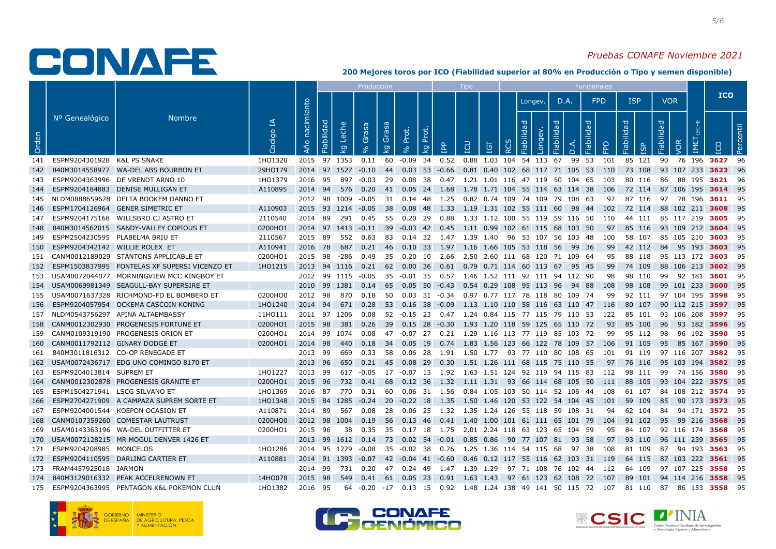### Pruebas CONAFE Noviembre 2021

|       |                                     |                                                   |             |                   |                                       | Producción           |                         |       |                         |   | <b>Tipo</b> |            |            |                                                                                                     |                                   | Funcionales |            |            |    |            |                               |                                 |  |
|-------|-------------------------------------|---------------------------------------------------|-------------|-------------------|---------------------------------------|----------------------|-------------------------|-------|-------------------------|---|-------------|------------|------------|-----------------------------------------------------------------------------------------------------|-----------------------------------|-------------|------------|------------|----|------------|-------------------------------|---------------------------------|--|
|       |                                     |                                                   |             |                   |                                       |                      |                         |       |                         |   |             |            |            | Longev.                                                                                             | D.A.                              |             | <b>FPD</b> | <b>ISP</b> |    | <b>VOR</b> |                               | <b>ICO</b>                      |  |
| Orden | Nº Genealógico                      | <b>Nombre</b>                                     | ₹<br>Codigo | nacimiento<br>Año | Fiabilidad<br>Leche<br>$\overline{Q}$ | Grasa                | Grasa<br>$\overline{5}$ | Prot. | Prot.<br>$\overline{Q}$ | 횹 | <b>PDI</b>  | <b>IGT</b> | <b>RCS</b> | ᅙ<br>Longev.<br>$\ddot{\sigma}$                                                                     | Fiabilidad<br>$\overline{\Omega}$ | Fiabilidad  |            | Fiabilidad | 9g | Fiabilidad | VOR<br>$\sum_{i=1}^{n}$       | Percentil                       |  |
|       | 141 ESPM9204301928 K&L PS SNAKE     |                                                   | 1HO1320     |                   | 2015 97 1353                          |                      |                         |       |                         |   |             |            |            | 0.11 60 -0.09 34 0.52 0.88 1.03 104 54 113 67 99 53                                                 |                                   |             | 101 85 121 |            |    | 90         | 76 196 <b>3627</b>            | -96                             |  |
|       |                                     | 142 840M3014558977 WA-DEL ABS BOURBON ET          | 29HO179     |                   |                                       |                      |                         |       |                         |   |             |            |            | 2014 97 1527 -0.10 44 0.03 53 -0.66 0.81 0.40 102 68 117 71 105 53 110                              |                                   |             |            | 73 108     |    |            | 93 107 233 <b>3623</b>        | - 96                            |  |
| 143   |                                     | ESPM9204363996 DE VRENDT ARNO 10                  | 1HO1379     |                   | 2016 95 897                           |                      |                         |       |                         |   |             |            |            | -0.03 29  0.08  38  0.47  1.21  1.01  116  47  119  50  104  65  103                                |                                   |             |            | 80 116     |    | 86         |                               | 88 195 <b>3621</b> 96           |  |
|       |                                     | 144 ESPM9204184883 DENISE MULLIGAN ET             | A110895     | 2014 94           | 576                                   | 0.20                 |                         |       |                         |   |             |            |            | 41 0.05 24 1.68 1.78 1.71 104 55 114 63 114 38 106                                                  |                                   |             |            | 72 114     |    |            |                               | 87 106 195 3614 95              |  |
|       |                                     | 145 NLDM0888659628 DELTA BOOKEM DANNO ET          |             |                   |                                       |                      |                         |       |                         |   |             |            |            | 2012 98 1009 -0.05 31 0.14 48 1.25 0.82 0.74 109 74 109 79 108 63                                   |                                   |             | 97         |            |    |            |                               | 87 116 97 78 196 <b>3611</b> 95 |  |
|       |                                     | 146 ESPM1704126964 GENER SIMETRIC ET              | A110903     |                   |                                       |                      |                         |       |                         |   |             |            |            | 2015 93 1214 -0.05 38 0.08 48 1.33 1.19 1.31 102 55 111 60 98 44 102                                |                                   |             |            | 72 114     |    |            |                               | 88 102 211 <b>3608</b> 95       |  |
| 147   |                                     | ESPM9204175168 WILLSBRO CJ ASTRO ET               | 2110540     | 2014 89           |                                       |                      |                         |       |                         |   |             |            |            | 291  0.45  55  0.20  29  0.88  1.33  1.12  100  55  119  59  116  50  110                           |                                   |             |            | 44 111     |    |            | 85 117 219 <b>3605</b>        | - 95                            |  |
|       |                                     | 148 840M3014562015 SANDY-VALLEY COPIOUS ET        | 0200HO1     |                   |                                       |                      |                         |       |                         |   |             |            |            | 2014 97 1413 -0.11 39 -0.03 42 0.45 1.11 0.99 102 61 115 68 103 50                                  |                                   |             | 97         | 85 116     |    |            |                               | 93 109 212 3604 95              |  |
|       | 149 ESPM2504230595 PLABELMA BRIU ET |                                                   | 2110567     |                   |                                       |                      |                         |       |                         |   |             |            |            | 2015 89 552 0.63 83 0.14 32 1.47 1.39 1.40 96 53 107 56 103 48 100 58 107 85 105 210 <b>3603</b> 95 |                                   |             |            |            |    |            |                               |                                 |  |
|       | 150 ESPM9204342142 WILLIE ROLEX ET  |                                                   | A110941     | 2016              | - 78<br>687                           |                      |                         |       |                         |   |             |            |            | 0.21 46 0.10 33 1.97 1.16 1.66 105 53 118 56 99 36                                                  |                                   |             | -99        | 42 112     |    |            |                               | 84 95 193 3603 95               |  |
|       |                                     | 151 CANM0012189029 STANTONS APPLICABLE ET         | 0200HO1     |                   | 2015 98 -286                          | 0.49                 |                         |       |                         |   |             |            |            | 35  0.20  10  2.66  2.50  2.60  111  68  120  71  109  64                                           |                                   |             | 95         | 88 118     |    |            | 95 113 172 <b>3603</b>        | - 95                            |  |
|       |                                     | 152 ESPM1503837995 FONTELAS XF SUPERSI VICENZO ET | 1HO1215     | 2013              | 94 1116                               |                      |                         |       |                         |   |             |            |            | 0.21 62 0.00 36 0.61 0.79 0.71 114 60 113 67 95 45                                                  |                                   |             | -99        | 74 109     |    |            |                               | 88 106 213 3602 95              |  |
|       |                                     | 153 USAM0072044077 MORNINGVIEW MCC KINGBOY ET     |             |                   |                                       |                      |                         |       |                         |   |             |            |            | 2012 99 1115 -0.05 35 -0.01 35 0.57 1.46 1.52 111 92 111 94 112 90                                  |                                   |             | 98         | 98 110     |    |            |                               | 99 92 181 <b>3601</b> 95        |  |
|       |                                     | 154 USAM0069981349 SEAGULL-BAY SUPERSIRE ET       |             |                   |                                       | 2010 99 1381 0.14 65 |                         |       |                         |   |             |            |            | 0.05 50 -0.43 0.54 0.29 108 95 113 96 94 88                                                         |                                   |             | 108        | 98 108     |    |            | 99 101 233 <b>3600</b>        | - 95                            |  |
|       |                                     | 155 USAM0071637328 RICHMOND-FD EL BOMBERO ET      | 0200HO0     |                   |                                       | 2012 98 870 0.18     |                         |       |                         |   |             |            |            | 50  0.03  31  -0.34  0.97  0.77  117  78  118  80  109  74                                          |                                   |             | 99         |            |    |            | 92 111 97 104 195 <b>3598</b> | - 95                            |  |
|       |                                     | 156 ESPM9204057954 OCKEMA CASCOIN KONING          | 1HO1240     | 2014 94           |                                       | 671 0.28             |                         |       |                         |   |             |            |            | 53  0.16  38  -0.09  1.13  1.10  110  58  116  63  110  47  116                                     |                                   |             |            |            |    |            |                               | 80 107 90 112 215 3597 95       |  |
|       |                                     | 157 NLDM0543756297 APINA ALTAEMBASSY              | 11HO111     |                   | 2011 97 1206                          | 0.08                 |                         |       |                         |   |             |            |            | 52 -0.15 23 0.47 1.24 0.84 115 77 115 79 110 53 122 85 101 93 106 208 <b>3597</b> 95                |                                   |             |            |            |    |            |                               |                                 |  |
|       |                                     | 158 CANM0012302930 PROGENESIS FORTUNE ET          | 0200HO1     | 2015              | 98<br>381                             | 0.26                 |                         |       |                         |   |             |            |            | 39  0.15  28  -0.30  1.93  1.20  118  59  125  65  110  72                                          |                                   |             | 93         | 85 100     |    | - 96       |                               | 93 182 3596 95                  |  |
|       |                                     | 159 CANM0109319190 PROGENESIS ORION ET            | 0200HO1     |                   | 2014 99 1074                          | 0.08                 |                         |       |                         |   |             |            |            | 47 -0.07 27 0.21 1.29 1.16 113 77 119 85 103 72                                                     |                                   |             | 99         | 95 112     |    | - 98       | 96 192 <b>3590</b>            | - 95                            |  |
|       | 160 CANM0011792112 GINARY DODGE ET  |                                                   | 0200HO1     | 2014 98           | 440                                   | 0.18                 | - 34                    |       |                         |   |             |            |            | 0.05 19 0.74 1.83 1.56 123 66 122 78 109 57                                                         |                                   |             | - 106      | 91 105     |    | - 95       | 85 167 <b>3590</b>            | - 95                            |  |
|       |                                     | 161 840M3011816312 CO-OP RENEGADE ET              |             | 2013 99           | 669                                   | 0.33                 |                         |       |                         |   |             |            |            | 58 0.06 28  1.91  1.50 1.77  93 77 110 80 108 65  101  91 119  97 116 207 <b>3582</b> 95            |                                   |             |            |            |    |            |                               |                                 |  |
|       |                                     | 162 USAM0072436717 EDG UNO COMINGO 8170 ET        |             | 2013              | 650<br>- 96                           |                      |                         |       |                         |   |             |            |            | 0.21 45 0.08 29 0.30 1.51 1.26 111 68 115 75 110 55                                                 |                                   |             | 97         | 76 116     |    |            |                               | 95 103 194 <b>3582</b> 95       |  |
| 163   | ESPM9204013814 SUPREM ET            |                                                   | 1HO1227     | 2013 99           |                                       |                      |                         |       |                         |   |             |            |            | 617 -0.05 17 -0.07 13 1.92 1.63 1.51 124 92 119 94 115 83 112                                       |                                   |             |            | 98 111     |    | - 99       | 74 156 <b>3580</b>            | -95                             |  |
|       |                                     | 164 CANM0012302878 PROGENESIS GRANITE ET          | 0200HO1     | 2015              | 96<br>732                             |                      | $0.41$ 68               |       |                         |   |             |            |            | 0.12 36 1.32 1.11 1.31 93 66 114 68 105 50                                                          |                                   |             | 111        | 88 105     |    |            |                               | 93 104 222 3575 95              |  |
| 165   | ESPM1504271941 LSCG SILVANO ET      |                                                   | 1HO1369     |                   | 2016 87 770                           |                      |                         |       |                         |   |             |            |            | 0.31 60 0.06 31 1.56 0.84 1.05 103 50 114 52 106 44 108                                             |                                   |             |            | 61 107     |    |            | 84 108 212 <b>3574</b>        | - 95                            |  |
|       |                                     | 166 ESPM2704271909 A CAMPAZA SUPREM SORTE ET      | 1HO1348     |                   | 2015 84 1285                          |                      |                         |       |                         |   |             |            |            | -0.24 20 -0.22 18 1.35 1.50 1.46 120 53 122 54 104 45                                               |                                   |             | 101 59 109 |            |    | 85         |                               | 90 173 3573 95                  |  |
|       |                                     | 167 ESPM9204001544 KOEPON OCASION ET              | A110871     | 2014 89           | 567                                   | 0.08                 |                         |       |                         |   |             |            |            | 28  0.06  25  1.32  1.35  1.24  126  55  118  59  108  31                                           |                                   |             | 94         | 62 104     |    | -84        |                               | 94 171 3572 95                  |  |
|       |                                     | 168 CANM0107359260 COMESTAR LAUTRUST              | 0200HO0     |                   | 2012 98 1004                          | 0.19                 |                         |       |                         |   |             |            |            | 56  0.13  46  0.41  1.40  1.00  101  61  111  65  101  79  104                                      |                                   |             |            | 91 102     |    | - 95       |                               | 99 216 3568 95                  |  |
|       |                                     | 169 USAM0143363196 WA-DEL OUTFITTER ET            | 0200HO1     | 2015 96           |                                       | -38<br>0.35          |                         |       |                         |   |             |            |            | 35  0.17  18  1.75  2.01  2.24  118  63  123  65  104  59                                           |                                   |             | 95         | 84 107     |    |            |                               | 92 116 174 <b>3568</b> 95       |  |
|       |                                     | 170 USAM0072128215 MR MOGUL DENVER 1426 ET        |             |                   |                                       |                      |                         |       |                         |   |             |            |            | 2013 99 1612 0.14 73 0.02 54 -0.01 0.85 0.86 90 77 107 81 93 58                                     |                                   |             | 97         | 93 110     |    |            |                               | 96 111 239 <b>3565</b> 95       |  |
|       | 171 ESPM9204208985 MONCELOS         |                                                   | 1HO1286     |                   | 2014 95 1229                          | -0.08                |                         |       |                         |   |             |            |            | 35 -0.02 38 0.76 1.25 1.36 114 54 115 68 97 38 108                                                  |                                   |             |            | 81 109     |    | 87         | 94 193 <b>3563</b>            | - 95                            |  |
|       |                                     | 172 ESPM9204110595 DARLING CARTIER ET             | A110881     |                   | 2014 91 1393                          |                      |                         |       |                         |   |             |            |            | $-0.07$ 42 $-0.04$ 41 $-0.60$ 0.46 0.12 117 55 116 62 103 31 119                                    |                                   |             |            | 64 115     |    |            |                               | 87 103 222 <b>3561</b> 95       |  |
|       | 173 FRAM4457925018 JARMON           |                                                   |             | 2014 99           | 731                                   | 0.20                 |                         |       |                         |   |             |            |            | 47  0.24  49  1.47  1.39  1.29  97  71  108  76  102  44  112                                       |                                   |             |            | 64 109     |    |            | 97 107 225 <b>3558</b>        | - 95                            |  |
|       |                                     | 174 840M3129016332 PEAK ACCELRENOWN ET            | 14HO078     | 2015 98           | 549                                   |                      |                         |       |                         |   |             |            |            | 0.41 61 0.05 23 0.91 1.63 1.43 97 61 123 62 108 72 107 89 101 94 114 216 <b>3558</b> 95             |                                   |             |            |            |    |            |                               |                                 |  |
|       |                                     | 175 ESPM9204363995 PENTAGON K&L POKEMON CLUN      | 1HO1382     | 2016 95           |                                       |                      |                         |       |                         |   |             |            |            | 64 -0.20 -17 0.13 15 0.92 1.48 1.24 138 49 141 50 115 72 107 81 110 87 86 153 3558                  |                                   |             |            |            |    |            |                               | - 95                            |  |